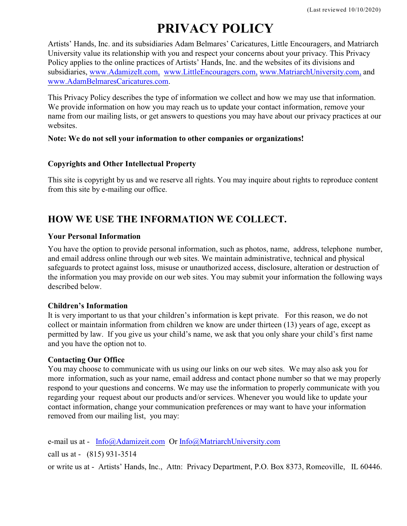# **PRIVACY POLICY**

Artists' Hands, Inc. and its subsidiaries Adam Belmares' Caricatures, Little Encouragers, and Matriarch University value its relationship with you and respect your concerns about your privacy. This Privacy Policy applies to the online practices of Artists' Hands, Inc. and the websites of its divisions and subsidiaries, [www.AdamizeIt.com,](http://www.AdamizeIt.com,) [www.LittleEncouragers.com,](http://www.LittleEncouragers.com,) [www.MatriarchUniversity.com,](http://www.MatriarchUniversity.com,) and [www.AdamBelmaresCaricatures.com](http://www.AdamBelmaresCaricatures.com).

This Privacy Policy describes the type of information we collect and how we may use that information. We provide information on how you may reach us to update your contact information, remove your name from our mailing lists, or get answers to questions you may have about our privacy practices at our websites

#### **Note: We do not sell your information to other companies or organizations!**

#### **Copyrights and Other Intellectual Property**

This site is copyright by us and we reserve all rights. You may inquire about rights to reproduce content from this site by e-mailing our office.

### **HOW WE USE THE INFORMATION WE COLLECT.**

#### **Your Personal Information**

You have the option to provide personal information, such as photos, name, address, telephone number, and email address online through our web sites. We maintain administrative, technical and physical safeguards to protect against loss, misuse or unauthorized access, disclosure, alteration or destruction of the information you may provide on our web sites. You may submit your information the following ways described below.

#### **Children's Information**

It is very important to us that your children's information is kept private. For this reason, we do not collect or maintain information from children we know are under thirteen (13) years of age, except as permitted by law. If you give us your child's name, we ask that you only share your child's first name and you have the option not to.

#### **Contacting Our Office**

You may choose to communicate with us using our links on our web sites. We may also ask you for more information, such as your name, email address and contact phone number so that we may properly respond to your questions and concerns. We may use the information to properly communicate with you regarding your request about our products and/or services. Whenever you would like to update your contact information, change your communication preferences or may want to have your information removed from our mailing list, you may:

e-mail us at - [Info@Adamizeit.com](mailto:Info@Adamizeit.com) Or [Info@MatriarchUniversity.com](mailto:Info@MatriarchUniversity.com) call us at - (815) 931-3514

or write us at - Artists' Hands, Inc., Attn: Privacy Department, P.O. Box 8373, Romeoville, IL 60446.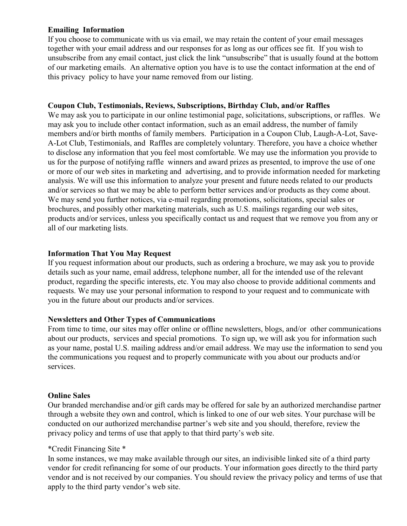#### **Emailing Information**

If you choose to communicate with us via email, we may retain the content of your email messages together with your email address and our responses for as long as our offices see fit. If you wish to unsubscribe from any email contact, just click the link "unsubscribe" that is usually found at the bottom of our marketing emails. An alternative option you have is to use the contact information at the end of this privacy policy to have your name removed from our listing.

#### **Coupon Club, Testimonials, Reviews, Subscriptions, Birthday Club, and/or Raffles**

We may ask you to participate in our online testimonial page, solicitations, subscriptions, or raffles. We may ask you to include other contact information, such as an email address, the number of family members and/or birth months of family members. Participation in a Coupon Club, Laugh-A-Lot, Save-A-Lot Club, Testimonials, and Raffles are completely voluntary. Therefore, you have a choice whether to disclose any information that you feel most comfortable. We may use the information you provide to us for the purpose of notifying raffle winners and award prizes as presented, to improve the use of one or more of our web sites in marketing and advertising, and to provide information needed for marketing analysis. We will use this information to analyze your present and future needs related to our products and/or services so that we may be able to perform better services and/or products as they come about. We may send you further notices, via e-mail regarding promotions, solicitations, special sales or brochures, and possibly other marketing materials, such as U.S. mailings regarding our web sites, products and/or services, unless you specifically contact us and request that we remove you from any or all of our marketing lists.

#### **Information That You May Request**

If you request information about our products, such as ordering a brochure, we may ask you to provide details such as your name, email address, telephone number, all for the intended use of the relevant product, regarding the specific interests, etc. You may also choose to provide additional comments and requests. We may use your personal information to respond to your request and to communicate with you in the future about our products and/or services.

#### **Newsletters and Other Types of Communications**

From time to time, our sites may offer online or offline newsletters, blogs, and/or other communications about our products, services and special promotions. To sign up, we will ask you for information such as your name, postal U.S. mailing address and/or email address. We may use the information to send you the communications you request and to properly communicate with you about our products and/or services.

#### **Online Sales**

Our branded merchandise and/or gift cards may be offered for sale by an authorized merchandise partner through a website they own and control, which is linked to one of our web sites. Your purchase will be conducted on our authorized merchandise partner's web site and you should, therefore, review the privacy policy and terms of use that apply to that third party's web site.

#### \*Credit Financing Site \*

In some instances, we may make available through our sites, an indivisible linked site of a third party vendor for credit refinancing for some of our products. Your information goes directly to the third party vendor and is not received by our companies. You should review the privacy policy and terms of use that apply to the third party vendor's web site.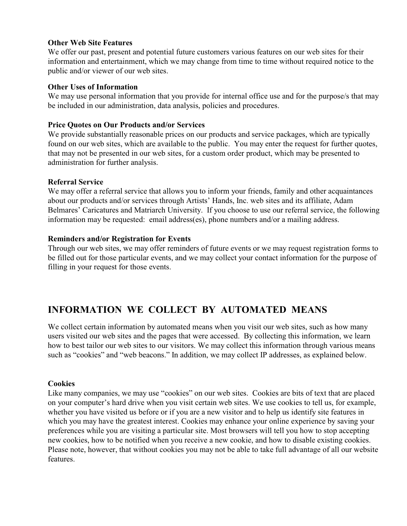#### **Other Web Site Features**

We offer our past, present and potential future customers various features on our web sites for their information and entertainment, which we may change from time to time without required notice to the public and/or viewer of our web sites.

#### **Other Uses of Information**

We may use personal information that you provide for internal office use and for the purpose/s that may be included in our administration, data analysis, policies and procedures.

#### **Price Quotes on Our Products and/or Services**

We provide substantially reasonable prices on our products and service packages, which are typically found on our web sites, which are available to the public. You may enter the request for further quotes, that may not be presented in our web sites, for a custom order product, which may be presented to administration for further analysis.

#### **Referral Service**

We may offer a referral service that allows you to inform your friends, family and other acquaintances about our products and/or services through Artists' Hands, Inc. web sites and its affiliate, Adam Belmares' Caricatures and Matriarch University. If you choose to use our referral service, the following information may be requested: email address(es), phone numbers and/or a mailing address.

#### **Reminders and/or Registration for Events**

Through our web sites, we may offer reminders of future events or we may request registration forms to be filled out for those particular events, and we may collect your contact information for the purpose of filling in your request for those events.

# **INFORMATION WE COLLECT BY AUTOMATED MEANS**

We collect certain information by automated means when you visit our web sites, such as how many users visited our web sites and the pages that were accessed. By collecting this information, we learn how to best tailor our web sites to our visitors. We may collect this information through various means such as "cookies" and "web beacons." In addition, we may collect IP addresses, as explained below.

#### **Cookies**

Like many companies, we may use "cookies" on our web sites. Cookies are bits of text that are placed on your computer's hard drive when you visit certain web sites. We use cookies to tell us, for example, whether you have visited us before or if you are a new visitor and to help us identify site features in which you may have the greatest interest. Cookies may enhance your online experience by saving your preferences while you are visiting a particular site. Most browsers will tell you how to stop accepting new cookies, how to be notified when you receive a new cookie, and how to disable existing cookies. Please note, however, that without cookies you may not be able to take full advantage of all our website features.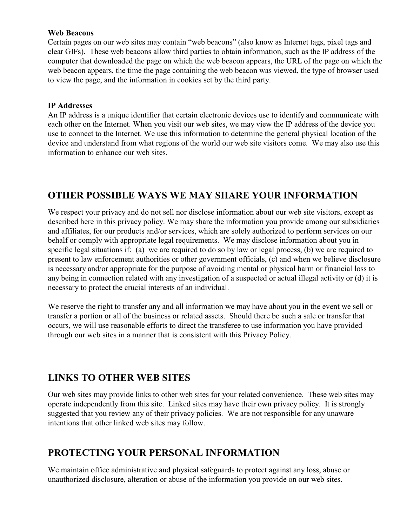#### **Web Beacons**

Certain pages on our web sites may contain "web beacons" (also know as Internet tags, pixel tags and clear GIFs). These web beacons allow third parties to obtain information, such as the IP address of the computer that downloaded the page on which the web beacon appears, the URL of the page on which the web beacon appears, the time the page containing the web beacon was viewed, the type of browser used to view the page, and the information in cookies set by the third party.

#### **IP Addresses**

An IP address is a unique identifier that certain electronic devices use to identify and communicate with each other on the Internet. When you visit our web sites, we may view the IP address of the device you use to connect to the Internet. We use this information to determine the general physical location of the device and understand from what regions of the world our web site visitors come. We may also use this information to enhance our web sites.

### **OTHER POSSIBLE WAYS WE MAY SHARE YOUR INFORMATION**

We respect your privacy and do not sell nor disclose information about our web site visitors, except as described here in this privacy policy. We may share the information you provide among our subsidiaries and affiliates, for our products and/or services, which are solely authorized to perform services on our behalf or comply with appropriate legal requirements. We may disclose information about you in specific legal situations if: (a) we are required to do so by law or legal process, (b) we are required to present to law enforcement authorities or other government officials, (c) and when we believe disclosure is necessary and/or appropriate for the purpose of avoiding mental or physical harm or financial loss to any being in connection related with any investigation of a suspected or actual illegal activity or (d) it is necessary to protect the crucial interests of an individual.

We reserve the right to transfer any and all information we may have about you in the event we sell or transfer a portion or all of the business or related assets. Should there be such a sale or transfer that occurs, we will use reasonable efforts to direct the transferee to use information you have provided through our web sites in a manner that is consistent with this Privacy Policy.

### **LINKS TO OTHER WEB SITES**

Our web sites may provide links to other web sites for your related convenience. These web sites may operate independently from this site. Linked sites may have their own privacy policy. It is strongly suggested that you review any of their privacy policies. We are not responsible for any unaware intentions that other linked web sites may follow.

### **PROTECTING YOUR PERSONAL INFORMATION**

We maintain office administrative and physical safeguards to protect against any loss, abuse or unauthorized disclosure, alteration or abuse of the information you provide on our web sites.